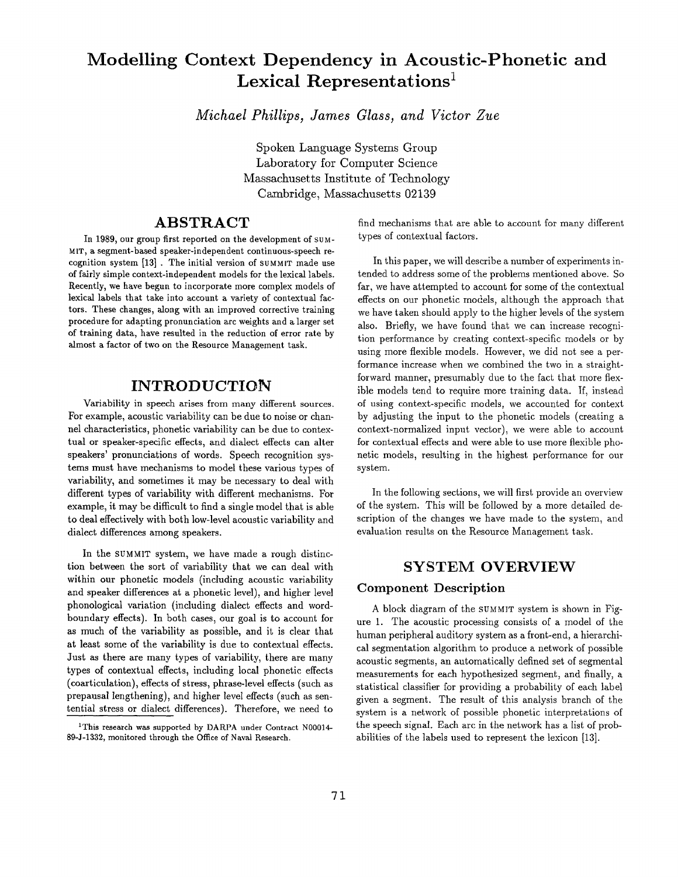# **Modelling Context Dependency in Acoustic-Phonetic and**  Lexical Representations<sup>1</sup>

*Michael Phillips, James Glass, and Victor Zue* 

Spoken Language Systems Group Laboratory for Computer Science Massachusetts Institute of Technology Cambridge, Massachusetts 02139

### **ABSTRACT**

In 1989, our group first reported on the development of SUM-MIT, **a** segment-based speaker-independent continuous-speech recognition system [13] . The initial version of SUMMIT made use of fairly simple context-independent models for the lexical labels. Recently, we have begun to incorporate more complex models of lexical labels that take into account a variety of contextual factors. These changes, along with an improved corrective training procedure for adapting pronunciation arc weights and a larger set of training data, have resulted in the reduction of error rate by almost a factor of two on the Resource Management task.

## **INTRODUCTION**

Variability in speech arises from many different sources. For example, acoustic variability can be due to noise or channel characteristics, phonetic variability can be due to contextual or speaker-specific effects, and dialect effects can alter speakers' pronunciations of words. Speech recognition systems must have mechanisms to model these various types of variability, and sometimes it may be necessary to deal with different types of variability with different mechanisms. For example, it may be difficult to find a single model that is able to deal effectively with both low-level acoustic variability and dialect differences among speakers.

In the SUMMIT system, we have made a rough distinction between the sort of variability that we can deal with within our phonetic models (including acoustic variability and speaker differences at a phonetic level), and higher level phonological variation (including dialect effects and wordboundary effects). In both cases, our goal is to account for as much of the variability as possible, and it is clear that at least some of the variability is due to contextual effects. Just as there are many types of variability, there are many types of contextual effects, including local phonetic effects (coarticulation), effects of stress, phrase-level effects (such as prepausal lengthening), and higher level effects (such as sentential stress or dialect differences). Therefore, we need to

find mechanisms that are able to account for many different types of contextual factors.

In this paper, we will describe a number of experiments intended to address some of the problems mentioned above. So far, we have attempted to account for some of the contextual effects on our phonetic models, although the approach that we have taken should apply to the higher levels of the system also. Briefly, we have found that we can increase recognition performance by creating context-specific models or by using more flexible models. However, we did not see a performance increase when we combined the two in a straightforward manner, presumably due to the fact that more flexible models tend to require more training data. If, instead of using context-specific models, we accounted for context by adjusting the input to the phonetic models (creating a context-normalized input vector), we were able to account for contextual effects and were able to use more flexible phonetic models, resulting in the highest performance for our system.

In the following sections, we will first provide an overview of the system. This will be followed by a more detailed description of the changes we have made to the system, and evaluation results on the Resource Management task.

### **SYSTEM OVERVIEW**

#### Component Description

A block diagram of the SUMMIT system is shown in Figure 1. The acoustic processing consists of a model of the human peripheral auditory system as a front-end, a hierarchical segmentation algorithm to produce a network of possible acoustic segments, an automatically defined set of segmental measurements for each hypothesized segment, and finally, a statistical classifier for providing a probability of each label given a segment. The result of this analysis branch of the system is a network of possible phonetic interpretations of the speech signal. Each arc in the network has a list of probabilities of the labels used to represent the lexicon [13].

<sup>&</sup>lt;sup>1</sup>This research was supported by DARPA under Contract N00014-89-J-1332, monitored through the Office of Naval Research.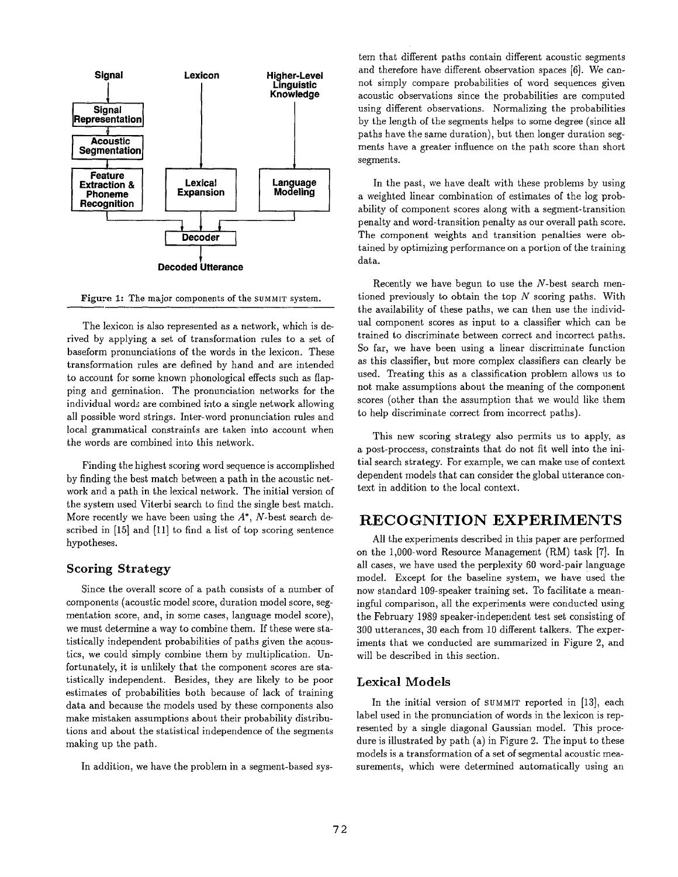

Figure 1: The major components of the SUMMIT system.

The lexicon is also represented as a network, which is derived by applying a set of transformation rules to a set of baseform pronunciations of the words in the lexicon. These transformation rules are defined by hand and are intended to account for some known phonological effects such as flapping and gemination. The pronunciation networks for the individual words are combined into a single network allowing all possible word strings. Inter-word pronunciation rules and local grammatical constraints are taken into account when the words are combined into this network.

Finding the highest scoring word sequence is accomplished by finding the best match between a path in the acoustic network and a path in the lexical network. The initial version of the system used Viterbi search to find the single best match. More recently we have been using the  $A^*$ , N-best search described in [15] and [11] to find a list of top scoring sentence hypotheses.

### **Scoring Strategy**

Since the overall score of a path consists of a number of components (acoustic model score, duration model score, segmentation score, and, in some cases, language model score), we must determine a way to combine them. If these were statistically independent probabilities of paths given the acoustics, we could simply combine them by multiplication. Unfortunately, it is unlikely that the component scores are statistically independent. Besides, they are likely to be poor estimates of probabilities both because of lack of training data and because the models used by these components also make mistaken assumptions about their probability distributions and about the statistical independence of the segments making up the path.

In addition, we have the problem in a segment-based sys-

tem that different paths contain different acoustic segments and therefore have different observation spaces [6]. We cannot simply compare probabilities of word sequences given acoustic observations since the probabilities are computed using different observations. Normalizing the probabilities by the length of the segments helps to some degree (since all paths have the same duration), but then longer duration segments have a greater influence on the path score than short segments.

In the past, we have dealt with these problems by using a weighted linear combination of estimates of the log probability of component scores along with a segment-transition penalty and word-transition penalty as our overall path score. The component weights and transition penalties were obtained by optimizing performance on a portion of the training data.

Recently we have begun to use the  $N$ -best search mentioned previously to obtain the top  $N$  scoring paths. With the availability of these paths, we can then use the individual component scores as input to a classifier which can be trained to discriminate between correct and incorrect paths. So far, we have been using a linear discriminate function as this classifier, but more complex classifiers can clearly be used. Treating this as a classification problem allows us to not make assumptions about the meaning of the component scores (other than the assumption that we would like them to help discriminate correct from incorrect paths).

This new scoring strategy also permits us to apply, as a post-proccess, constraints that do not fit well into the initial search strategy. For example, we can make use of context dependent models that can consider the global utterance context in addition to the local context.

### **RECO GNITION EXPERIMENTS**

All the experiments described in this paper are performed on the 1,000-word Resource Management (RM) task [7]. In all cases, we have used the perplexity 60 word-pair language model. Except for the baseline system, we have used the now standard 109-speaker training set. To facilitate a meaningful comparison, all the experiments were conducted using the February 1989 speaker-independent test set consisting of 300 utterances, 30 each from 10 different talkers. The experiments that we conducted are summarized in Figure 2, and will be described in this section.

#### Lexical Models

In the initial version of SUMMIT reported in [13], each label used in the pronunciation of words in the lexicon is represented by a single diagonal Gaussian model. This procedure is illustrated by path (a) in Figure 2. The input to these models is a transformation of a set of segmental acoustic measurements, which were determined automatically using an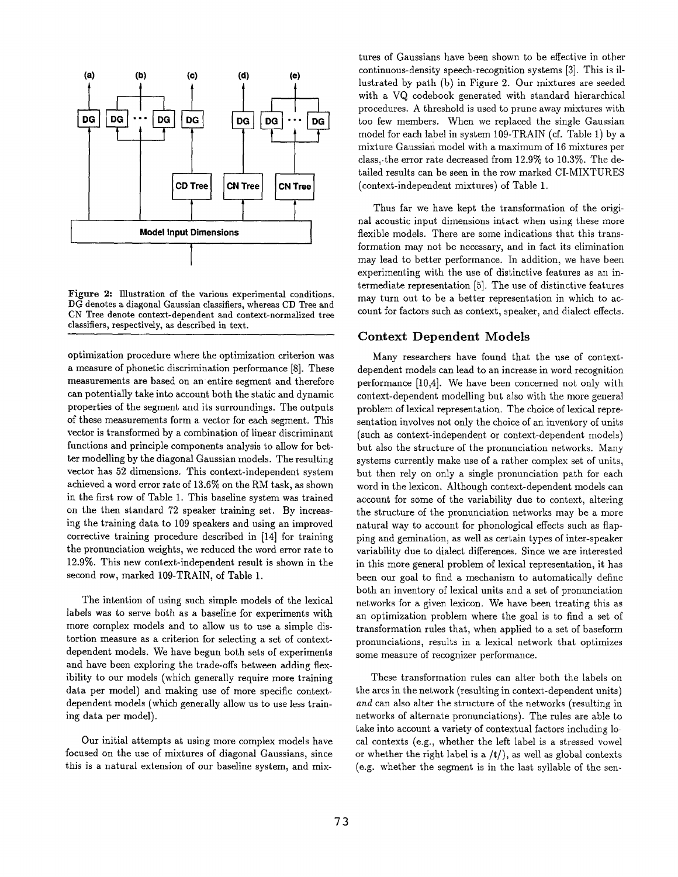

Figure 2: Illustration of the various experimental conditions. DG denotes a diagonal Gaussian classifiers, whereas CD Tree **and**  CN Tree **denote context-dependent and** context-normalized tree classifiers, respectively, as described in text.

optimization procedure where the optimization criterion was a measure of phonetic discrimination performance [8]. These measurements are based on an entire segment and therefore can potentially take into account both the static and dynamic properties of the segment and its surroundings. The outputs of these measurements form a vector for each segment. This vector is transformed by a combination of linear discriminant functions and principle components analysis to allow for better modelling by the diagonal Gaussian models. The resulting vector has 52 dimensions. This context-independent system achieved a word error rate of 13.6% on the RM task, as shown in the first row of Table 1. This baseline system was trained on the then standard 72 speaker training set. By increasing the training data to 109 speakers and using an improved corrective training procedure described in [14] for training **the** pronunciation weights, We reduced the word error rate to 12.9%. This new context-independent result is shown in the second row, marked 109-TRAIN, of Table 1.

The intention of using such simple models of the lexical labels was to serve both as a baseline for experiments with more complex models and to allow us to use a simple distortion measure as a criterion for selecting a set of contextdependent models. We have begun both sets of experiments and have been exploring the trade-offs between adding flexibility to our models (which generally require more training data per model) and making use of more specific contextdependent models (which generally allow us to use less training data per model).

Our initial attempts at using more complex models have focused on the use of mixtures of diagonal Gaussians, since this is a natural extension of our baseline system, and mixtures of Gaussians have been shown to be effective in other continuous-density speech-recognition systems [3]. This is illustrated by path (b) in Figure 2. Our mixtures are seeded with a VQ codebook generated with standard hierarchical procedures. A threshold is used to prune away mixtures with too few members. When we replaced the single Gaussian model for each label in system 109-TRAIN (cf. Table 1) by a mixture Gaussian model with a maximum of 16 mixtures per class,-the error rate decreased from 12.9% to 10.3%. The detailed results can be seen in the row marked CI-MIXTURES (context-independent mixtures) of Table 1.

Thus far we have kept the transformation of the original acoustic input dimensions intact when using these more flexible models. There are some indications that this transformation may not be necessary, and in fact its elimination may lead to better performance. In addition, we have been experimenting with the use of distinctive features as an intermediate representation [5]. The use of distinctive features may turn out to be a better representation in which to account for factors such as context, speaker, and dialect effects.

#### **Context Dependent Models**

Many researchers have found that the use of contextdependent models can lead to an increase in word recognition performance [10,4]. We have been concerned not only with context-dependent modelling but also with the more general problem of lexical representation. The choice of lexical representation involves not only the choice of an inventory of units (such as context-independent or context-dependent models) but also the structure of the pronunciation networks. Many systems currently make use of a rather complex set of units, but then rely on only a single pronunciation path for each word in the lexicon. Although context-dependent models can account for some of the variability due to context, altering the structure of the pronunciation networks may be a more natural way to account for phonological effects such as flapping and gemination, as well as certain types of inter-speaker variability due to dialect differences. Since we are interested in this more general problem of lexical representation, it has been our goal to find a mechanism to automatically define both an inventory of lexical units and a set of pronunciation networks for a given lexicon. We have been treating this as an optimization problem where the goal is to find a set of transformation rules that, when applied to a set of baseform pronunciations, results in a lexical network that optimizes some measure of recognizer performance.

These transformation rules can alter both the labels on the arcs in the network (resulting in context-dependent units) *and* can also alter the structure of the networks (resulting in networks of alternate pronunciations). The rules are able to take into account a variety of contextual factors including local contexts (e.g., whether the left label is a stressed vowel or whether the right label is a  $/t/$ ), as well as global contexts (e.g. whether the segment is in the last syllable of the sen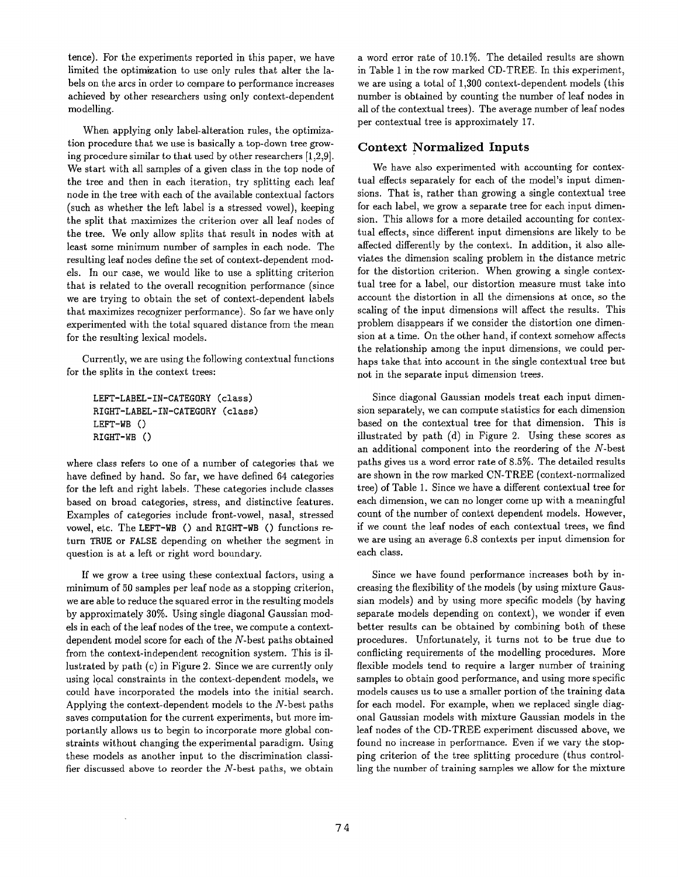tence). For the experiments reported in this paper, we have limited the optimization to use only rules that alter the labels on the arcs in order to compare to performance increases achieved by other researchers using only context-dependent modelling.

When applying only label-alteration rules, the optimization procedure that we use is basically a top-down tree growing procedure similar to that used by other researchers [1,2,9]. We start with all samples of a given class in the top node of the tree and then in each iteration, try splitting each leaf node in the tree with each of the available contextual factors (such as whether the left label is a stressed vowel), keeping the split that maximizes the criterion over all leaf nodes of the tree. We only allow splits that result in nodes with at least some minimum number of samples in each node. The resulting leaf nodes define the set of context-dependent models. In our case, we would like to use a splitting criterion that is related to the overall recognition performance (since we are trying to obtain the set of context-dependent labels that maximizes recognizer performance). So far we have only experimented with the total squared distance from the mean for the resulting lexical models.

Currently, we are using the following contextual functions for the splits in the context trees:

```
LEFT-LABEL-IN-CATEGORY (class) 
RIGHT-LABEL-IN-CATEGORY (class) 
LEFT-WB ()
RIGHT-WB ()
```
where class refers to one of a number of categories that we have defined by hand. So far, we have defined 64 categories for the left and right labels. These categories include classes based on broad categories, stress, and distinctive features. Examples of categories include front-vowel, nasal, stressed vowel, etc. The LEFT-WB () and RIGHT-WB () functions return TRUE or FALSE depending on whether the segment in question is at a left or right word boundary.

If we grow a tree using these contextual factors, using a minimum of 50 samples per leaf node as a stopping criterion, we are able to reduce the squared error in the resulting models by approximately 30%. Using single diagonal Gaussian models in each of the leaf nodes of the tree, we compute a contextdependent model score for each of the N-best paths obtained from the context-independent recognition system. This is illustrated by path (c) in Figure 2. Since we are currently only using local constraints in the context-dependent models, we could have incorporated the models into the initial search. Applying the context-dependent models to the N-best paths saves computation for the current experiments, but more importantly allows us to begin to incorporate more global constraints without changing the experimental paradigm. Using these models as another input to the discrimination classifier discussed above to reorder the  $N$ -best paths, we obtain

a word error rate of 10.1%. The detailed results are shown in Table 1 in the row marked CD-TREE. In this experiment, we are using a total of 1,300 context-dependent models (this number is obtained by counting the number of leaf nodes in all of the contextual trees). The average number of leaf nodes per contextual tree is approximately 17.

### **Context Normalized Inputs**

We have also experimented with accounting for contextual effects separately for each of the model's input dimensions. That is, rather than growing a single contextual tree for each label, we grow a separate tree for each input dimension. This allows for a more detailed accounting for contextual effects, since different input dimensions are likely to be affected differently by the context. In addition, it also alleviates the dimension scaling problem in the distance metric for the distortion criterion. When growing a single contextual tree for a label, our distortion measure must take into account the distortion in all the dimensions at once, so the scaling of the input dimensions will affect the results. This problem disappears if we consider the distortion one dimension at a time. On the other hand, if context somehow affects the relationship among the input dimensions, we could perhaps take that into account in the single contextual tree but not in the separate input dimension trees.

Since diagonal Gaussian models treat each input dimension separately, we can compute statistics for each dimension based on the contextual tree for that dimension. This is illustrated by path (d) in Figure 2. Using these scores as an additional component into the reordering of the N-best paths gives us a word error rate of 8.5%. The detailed results are shown in the row marked CN-TREE (context-normalized tree) of Table 1. Since we have a different contextual tree for each dimension, we can no longer come up with a meaningful count of the number of context dependent models. However, if we count the leaf nodes of each contextual trees, we find we are using an average 6.8 contexts per input dimension for each class.

Since we have found performance increases both by increasing the flexibility of the models (by using mixture Gaussian models) and by using more specific models (by having separate models depending on context), we wonder if even better results can be obtained by combining both of these procedures. Unfortunately, it turns not to be true due to conflicting requirements of the modelling procedures. More flexible models tend to require a larger number of training samples to obtain good performance, and using more specific models causes us to use a smaller portion of the training data for each model. For example, when we replaced single diagonal Gaussian models with mixture Gaussian models in the leaf nodes of the CD-TREE experiment discussed above, we found no increase in performance. Even if we vary the stopping criterion of the tree splitting procedure (thus controlling the number of training samples we allow for the mixture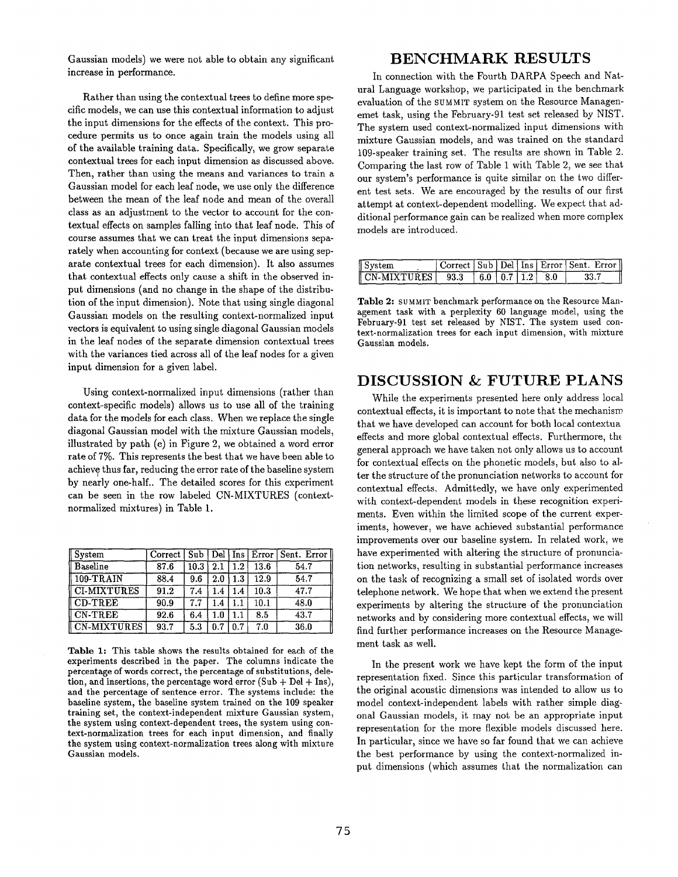Gaussian models) we were not able to obtain any significant increase in performance.

Rather than using the contextual trees to define more specific models, we can use this contextual information to adjust the input dimensions for the effects of the context. This procedure permits us to once again train the models using all of the available training data. Specifically~ we grow separate contextual trees for each input dimension as discussed above. Then, rather than using the means and variances to train a Gaussian model for each leaf node, we use only the difference between the mean of the leaf node and mean of the overall class as an adjustment to the vector to account for the contextual effects on samples falling into that leaf node. This of course assumes that we can treat the input dimensions separately when accounting for context (because we are using separate contextual trees for each dimension). It also assumes that contextual effects only cause a shift in the observed input dimensions (and no change in the shape of the distribution of the input dimension). Note that using single diagonal Gaussian models on the resulting context-normalized input vectors is equivalent to using single diagonal Gaussian models in the leaf nodes of the separate dimension contextual trees with the variances tied across all of the leaf nodes for a given input dimension for a given label.

Using context-normalized input dimensions (rather than context-specific models) allows us to use all of the training data for the models for each class. When we replace the single diagonal Gaussian model with the mixture Gaussian models, illustrated by path  $(e)$  in Figure 2, we obtained a word error rate of 7%. This represents the best that we have been able to achieve thus far, reducing the error rate of the baseline system by nearly one-half.. The detailed scores for this experiment can be seen in the row labeled CN-MIXTURES (contextnormalized mixtures) in Table 1.

| System             |      |      |     |         |      | Correct   Sub   Del   Ins   Error   Sent. Error |
|--------------------|------|------|-----|---------|------|-------------------------------------------------|
| <b>Baseline</b>    | 87.6 | 10.3 | 2.1 | $1.2\,$ | 13.6 | 54.7                                            |
| $109-TRAIN$        | 88.4 | 9.6  | 2.0 | $1.3\,$ | 12.9 | 54.7                                            |
| <b>CI-MIXTURES</b> | 91.2 | 7.4  | 1.4 | 1.4     | 10.3 | 47.7                                            |
| CD-TREE            | 90.9 | 7.7  | 1.4 |         | 10.1 | 48.0                                            |
| CN-TREE            | 92.6 | 6.4  | 1.0 | 1.1     | 8.5  | 43.7                                            |
| CN-MIXTURES        | 93.7 | 5.3  | 0.7 | 0.7     | 7.0  | 36.0                                            |

Table 1: This table shows the results obtained for each of the experiments described in the paper. The columns indicate the percentage of words correct, the percentage of substitutions, deletion, and insertions, the percentage word error  $(Sub + Del + Ins)$ , and the percentage of sentence error. The systems include: the baseline system, the baseline system trained on the 109 speaker training set, the context-independent mixture Gaussian system, the system using context-dependent trees, the system using context-normalization trees for each input dimension, and finally the system using context-normalization trees along with mixture Gaussian models.

# **BENCHMARK RESULTS**

In connection with the Fourth DARPA Speech and Natural Language workshop, we participated in the benchmark evaluation of the SUMMIT system on the Resource Managenemet task, using the February-91 test set released by NIST. The system used context-normalized input dimensions with mixture Gaussian models, and was trained on the standard 109-speaker training set. The results are shown in Table 2. Comparing the last row of Table 1 with Table 2, we see that our system's performance is quite similar on the two different test sets. We are encouraged by the results of our first attempt at context-dependent modelling. We expect that additional performance gain can be realized when more complex models are introduced.

| $\parallel$ System                       |                    |  | Correct   Sub   Del   Ins   Error   Sent. Error |
|------------------------------------------|--------------------|--|-------------------------------------------------|
| $\parallel$ CN-MIXTURES $\parallel$ 93.3 | $16.0$   0.7   1.2 |  |                                                 |

Table 2: SUMMIT benchmark performance on the Resource Management task with a perplexity 60 language model, using the February-91 test set released by NIST. The system used context-normalization trees for each input dimension, with mixture Gaussian models.

### **DISCUSSION & FUTURE PLANS**

While the experiments presented here only address local contextual effects, it is important to note that the mechanism that we have developed can account for both local contextua effects and more global contextual effects. Furthermore, the general approach we have taken not only allows us to account for contextual effects on the phonetic models, but also to alter the structure of the pronunciation networks to account for contextual effects. Admittedly, we have only experimented with context-dependent models in these recognition experiments. Even within the limited scope of the current experiments, however, we have achieved substantial performance improvements over our baseline system. In related work, we have experimented with altering the structure of pronunciation networks, resulting in substantial performance increases on the task of recognizing a small set of isolated words over telephone network. We hope that when we extend the present experiments by altering the structure of the pronunciation networks and by considering more contextual effects, we will find further performance increases on the Resource Management task as well.

In the present work we have kept the form of the input representation fixed. Since this particular transformation of the original acoustic dimensions was intended to allow us to model context-independent labels with rather simple diagonal Caussian models, it may not be an appropriate input representation for the more flexible models discussed here. In particular, since we have so far found that we can achieve the best performance by using the context-normalized input dimensions (which assumes that the normalization can